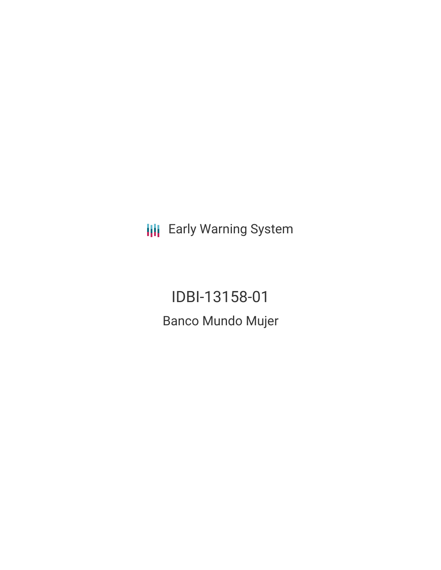**III** Early Warning System

IDBI-13158-01 Banco Mundo Mujer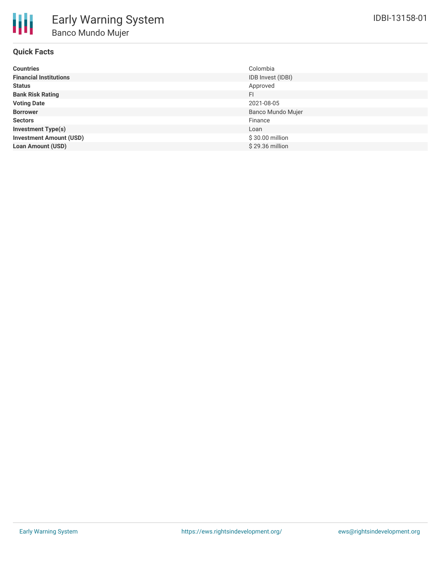

| <b>Countries</b>               | Colombia          |
|--------------------------------|-------------------|
| <b>Financial Institutions</b>  | IDB Invest (IDBI) |
| Status                         | Approved          |
| <b>Bank Risk Rating</b>        | FI                |
| <b>Voting Date</b>             | 2021-08-05        |
| <b>Borrower</b>                | Banco Mundo Mujer |
| <b>Sectors</b>                 | Finance           |
| <b>Investment Type(s)</b>      | Loan              |
| <b>Investment Amount (USD)</b> | \$30.00 million   |
| <b>Loan Amount (USD)</b>       | \$29.36 million   |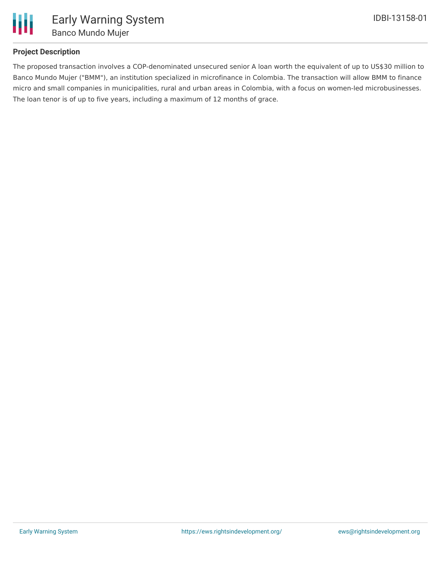

### **Project Description**

The proposed transaction involves a COP-denominated unsecured senior A loan worth the equivalent of up to US\$30 million to Banco Mundo Mujer ("BMM"), an institution specialized in microfinance in Colombia. The transaction will allow BMM to finance micro and small companies in municipalities, rural and urban areas in Colombia, with a focus on women-led microbusinesses. The loan tenor is of up to five years, including a maximum of 12 months of grace.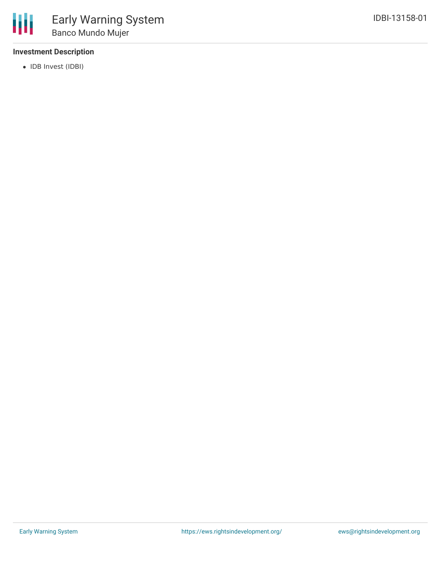## **Investment Description**

• IDB Invest (IDBI)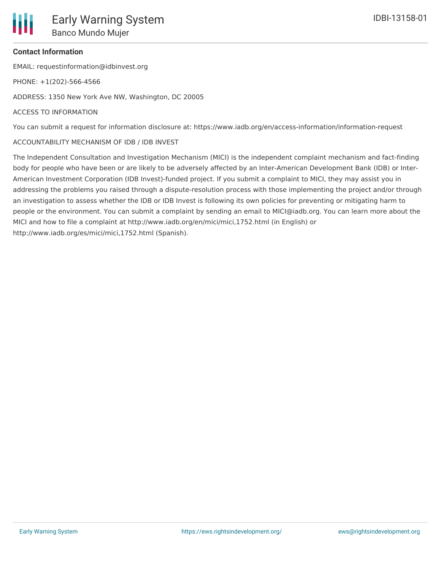# **Contact Information**

EMAIL: requestinformation@idbinvest.org

PHONE: +1(202)-566-4566

ADDRESS: 1350 New York Ave NW, Washington, DC 20005

#### ACCESS TO INFORMATION

You can submit a request for information disclosure at: https://www.iadb.org/en/access-information/information-request

#### ACCOUNTABILITY MECHANISM OF IDB / IDB INVEST

The Independent Consultation and Investigation Mechanism (MICI) is the independent complaint mechanism and fact-finding body for people who have been or are likely to be adversely affected by an Inter-American Development Bank (IDB) or Inter-American Investment Corporation (IDB Invest)-funded project. If you submit a complaint to MICI, they may assist you in addressing the problems you raised through a dispute-resolution process with those implementing the project and/or through an investigation to assess whether the IDB or IDB Invest is following its own policies for preventing or mitigating harm to people or the environment. You can submit a complaint by sending an email to MICI@iadb.org. You can learn more about the MICI and how to file a complaint at http://www.iadb.org/en/mici/mici,1752.html (in English) or http://www.iadb.org/es/mici/mici,1752.html (Spanish).